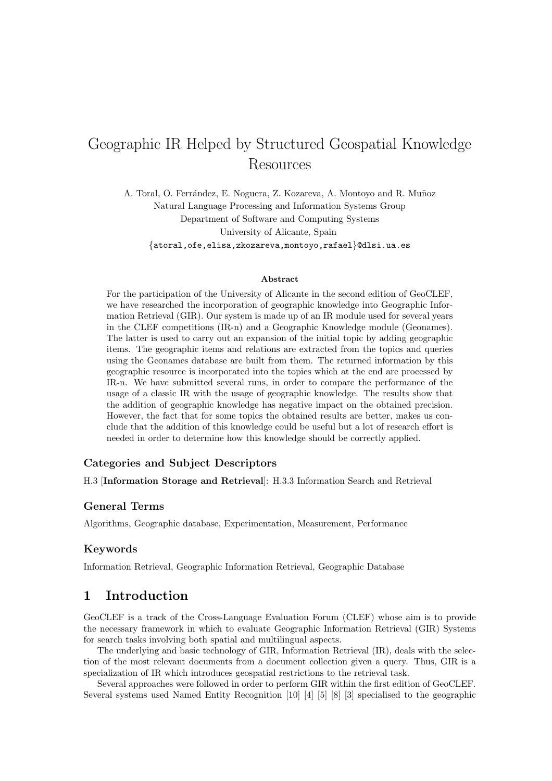# Geographic IR Helped by Structured Geospatial Knowledge Resources

A. Toral, O. Ferrández, E. Noguera, Z. Kozareva, A. Montoyo and R. Muñoz Natural Language Processing and Information Systems Group Department of Software and Computing Systems University of Alicante, Spain {atoral,ofe,elisa,zkozareva,montoyo,rafael}@dlsi.ua.es

#### Abstract

For the participation of the University of Alicante in the second edition of GeoCLEF, we have researched the incorporation of geographic knowledge into Geographic Information Retrieval (GIR). Our system is made up of an IR module used for several years in the CLEF competitions (IR-n) and a Geographic Knowledge module (Geonames). The latter is used to carry out an expansion of the initial topic by adding geographic items. The geographic items and relations are extracted from the topics and queries using the Geonames database are built from them. The returned information by this geographic resource is incorporated into the topics which at the end are processed by IR-n. We have submitted several runs, in order to compare the performance of the usage of a classic IR with the usage of geographic knowledge. The results show that the addition of geographic knowledge has negative impact on the obtained precision. However, the fact that for some topics the obtained results are better, makes us conclude that the addition of this knowledge could be useful but a lot of research effort is needed in order to determine how this knowledge should be correctly applied.

#### Categories and Subject Descriptors

H.3 [Information Storage and Retrieval]: H.3.3 Information Search and Retrieval

#### General Terms

Algorithms, Geographic database, Experimentation, Measurement, Performance

#### Keywords

Information Retrieval, Geographic Information Retrieval, Geographic Database

## 1 Introduction

GeoCLEF is a track of the Cross-Language Evaluation Forum (CLEF) whose aim is to provide the necessary framework in which to evaluate Geographic Information Retrieval (GIR) Systems for search tasks involving both spatial and multilingual aspects.

The underlying and basic technology of GIR, Information Retrieval (IR), deals with the selection of the most relevant documents from a document collection given a query. Thus, GIR is a specialization of IR which introduces geospatial restrictions to the retrieval task.

Several approaches were followed in order to perform GIR within the first edition of GeoCLEF. Several systems used Named Entity Recognition [10] [4] [5] [8] [3] specialised to the geographic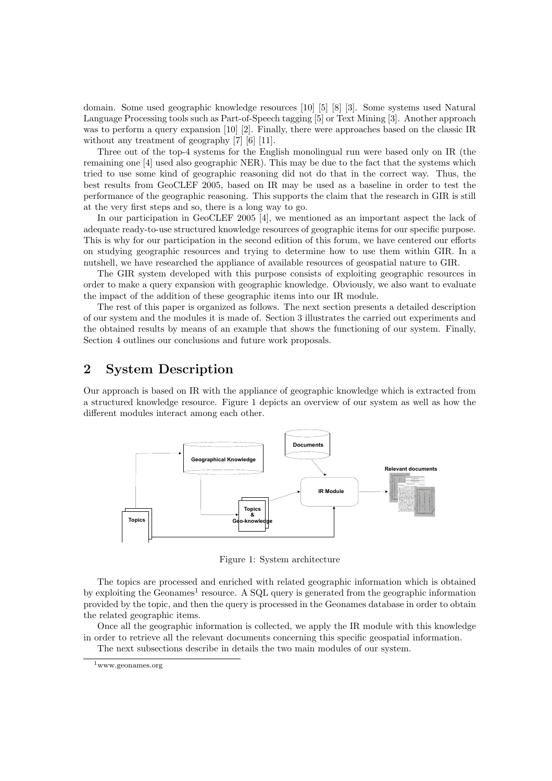domain. Some used geographic knowledge resources [10] [5] [8] [3]. Some systems used Natural Language Processing tools such as Part-of-Speech tagging [5] or Text Mining [3]. Another approach was to perform a query expansion [10] [2]. Finally, there were approaches based on the classic IR without any treatment of geography [7] [6] [11].

Three out of the top-4 systems for the English monolingual run were based only on IR (the remaining one [4] used also geographic NER). This may be due to the fact that the systems which tried to use some kind of geographic reasoning did not do that in the correct way. Thus, the best results from GeoCLEF 2005, based on IR may be used as a baseline in order to test the performance of the geographic reasoning. This supports the claim that the research in GIR is still at the very first steps and so, there is a long way to go.

In our participation in GeoCLEF 2005 [4], we mentioned as an important aspect the lack of adequate ready-to-use structured knowledge resources of geographic items for our specific purpose. This is why for our participation in the second edition of this forum, we have centered our efforts on studying geographic resources and trying to determine how to use them within GIR. In a nutshell, we have researched the appliance of available resources of geospatial nature to GIR.

The GIR system developed with this purpose consists of exploiting geographic resources in order to make a query expansion with geographic knowledge. Obviously, we also want to evaluate the impact of the addition of these geographic items into our IR module.

The rest of this paper is organized as follows. The next section presents a detailed description of our system and the modules it is made of. Section 3 illustrates the carried out experiments and the obtained results by means of an example that shows the functioning of our system. Finally, Section 4 outlines our conclusions and future work proposals.

## 2 System Description

Our approach is based on IR with the appliance of geographic knowledge which is extracted from a structured knowledge resource. Figure 1 depicts an overview of our system as well as how the different modules interact among each other.



Figure 1: System architecture

The topics are processed and enriched with related geographic information which is obtained by exploiting the Geonames<sup>1</sup> resource. A SQL query is generated from the geographic information provided by the topic, and then the query is processed in the Geonames database in order to obtain the related geographic items.

Once all the geographic information is collected, we apply the IR module with this knowledge in order to retrieve all the relevant documents concerning this specific geospatial information.

The next subsections describe in details the two main modules of our system.

<sup>1</sup>www.geonames.org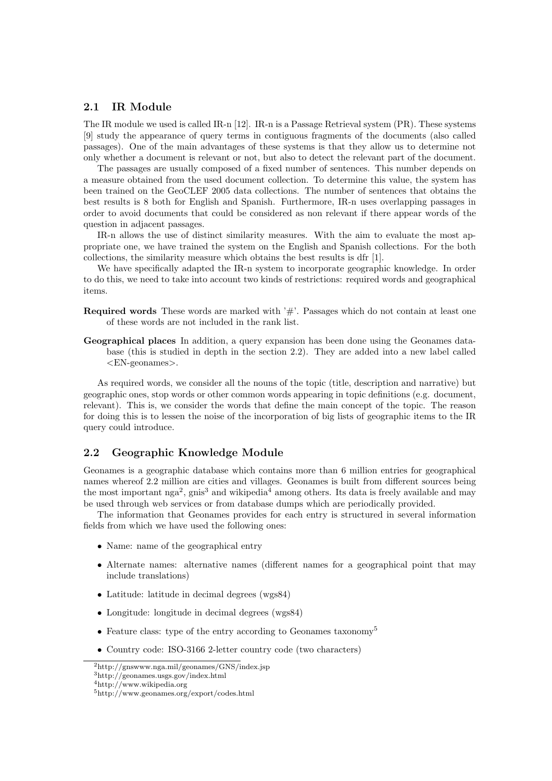#### 2.1 IR Module

The IR module we used is called IR-n [12]. IR-n is a Passage Retrieval system (PR). These systems [9] study the appearance of query terms in contiguous fragments of the documents (also called passages). One of the main advantages of these systems is that they allow us to determine not only whether a document is relevant or not, but also to detect the relevant part of the document.

The passages are usually composed of a fixed number of sentences. This number depends on a measure obtained from the used document collection. To determine this value, the system has been trained on the GeoCLEF 2005 data collections. The number of sentences that obtains the best results is 8 both for English and Spanish. Furthermore, IR-n uses overlapping passages in order to avoid documents that could be considered as non relevant if there appear words of the question in adjacent passages.

IR-n allows the use of distinct similarity measures. With the aim to evaluate the most appropriate one, we have trained the system on the English and Spanish collections. For the both collections, the similarity measure which obtains the best results is dfr [1].

We have specifically adapted the IR-n system to incorporate geographic knowledge. In order to do this, we need to take into account two kinds of restrictions: required words and geographical items.

- Required words These words are marked with '#'. Passages which do not contain at least one of these words are not included in the rank list.
- Geographical places In addition, a query expansion has been done using the Geonames database (this is studied in depth in the section 2.2). They are added into a new label called <EN-geonames>.

As required words, we consider all the nouns of the topic (title, description and narrative) but geographic ones, stop words or other common words appearing in topic definitions (e.g. document, relevant). This is, we consider the words that define the main concept of the topic. The reason for doing this is to lessen the noise of the incorporation of big lists of geographic items to the IR query could introduce.

#### 2.2 Geographic Knowledge Module

Geonames is a geographic database which contains more than 6 million entries for geographical names whereof 2.2 million are cities and villages. Geonames is built from different sources being the most important nga<sup>2</sup>, gnis<sup>3</sup> and wikipedia<sup>4</sup> among others. Its data is freely available and may be used through web services or from database dumps which are periodically provided.

The information that Geonames provides for each entry is structured in several information fields from which we have used the following ones:

- Name: name of the geographical entry
- Alternate names: alternative names (different names for a geographical point that may include translations)
- Latitude: latitude in decimal degrees (wgs84)
- Longitude: longitude in decimal degrees (wgs84)
- Feature class: type of the entry according to Geonames taxonomy<sup>5</sup>
- Country code: ISO-3166 2-letter country code (two characters)

<sup>2</sup>http://gnswww.nga.mil/geonames/GNS/index.jsp

<sup>3</sup>http://geonames.usgs.gov/index.html

<sup>4</sup>http://www.wikipedia.org

<sup>5</sup>http://www.geonames.org/export/codes.html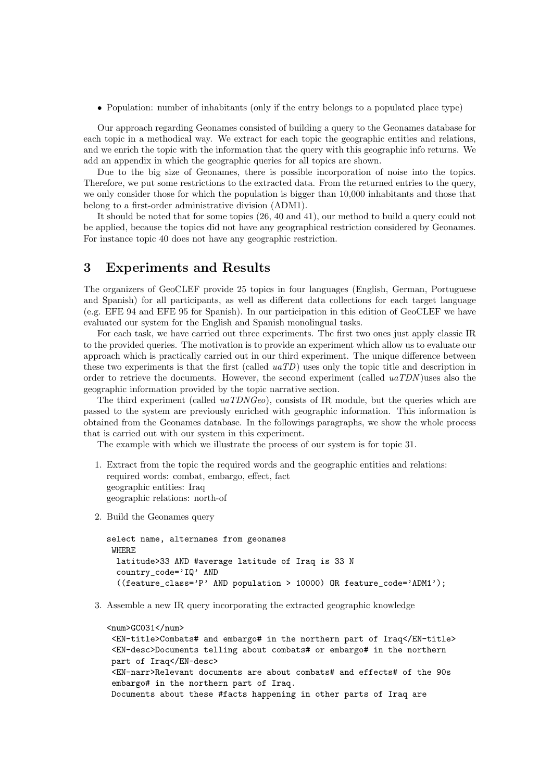• Population: number of inhabitants (only if the entry belongs to a populated place type)

Our approach regarding Geonames consisted of building a query to the Geonames database for each topic in a methodical way. We extract for each topic the geographic entities and relations, and we enrich the topic with the information that the query with this geographic info returns. We add an appendix in which the geographic queries for all topics are shown.

Due to the big size of Geonames, there is possible incorporation of noise into the topics. Therefore, we put some restrictions to the extracted data. From the returned entries to the query, we only consider those for which the population is bigger than 10,000 inhabitants and those that belong to a first-order administrative division (ADM1).

It should be noted that for some topics (26, 40 and 41), our method to build a query could not be applied, because the topics did not have any geographical restriction considered by Geonames. For instance topic 40 does not have any geographic restriction.

## 3 Experiments and Results

The organizers of GeoCLEF provide 25 topics in four languages (English, German, Portuguese and Spanish) for all participants, as well as different data collections for each target language (e.g. EFE 94 and EFE 95 for Spanish). In our participation in this edition of GeoCLEF we have evaluated our system for the English and Spanish monolingual tasks.

For each task, we have carried out three experiments. The first two ones just apply classic IR to the provided queries. The motivation is to provide an experiment which allow us to evaluate our approach which is practically carried out in our third experiment. The unique difference between these two experiments is that the first (called  $uaTD$ ) uses only the topic title and description in order to retrieve the documents. However, the second experiment (called uaTDN )uses also the geographic information provided by the topic narrative section.

The third experiment (called  $u a T D N G e \rho$ ), consists of IR module, but the queries which are passed to the system are previously enriched with geographic information. This information is obtained from the Geonames database. In the followings paragraphs, we show the whole process that is carried out with our system in this experiment.

The example with which we illustrate the process of our system is for topic 31.

- 1. Extract from the topic the required words and the geographic entities and relations: required words: combat, embargo, effect, fact geographic entities: Iraq geographic relations: north-of
- 2. Build the Geonames query

```
select name, alternames from geonames
WHERE
  latitude>33 AND #average latitude of Iraq is 33 N
  country_code='IQ' AND
  ((feature_class='P' AND population > 10000) OR feature_code='ADM1');
```
3. Assemble a new IR query incorporating the extracted geographic knowledge

```
<num>GC031</num><EN-title>Combats# and embargo# in the northern part of Iraq</EN-title>
<EN-desc>Documents telling about combats# or embargo# in the northern
part of Iraq</EN-desc>
 <EN-narr>Relevant documents are about combats# and effects# of the 90s
embargo# in the northern part of Iraq.
Documents about these #facts happening in other parts of Iraq are
```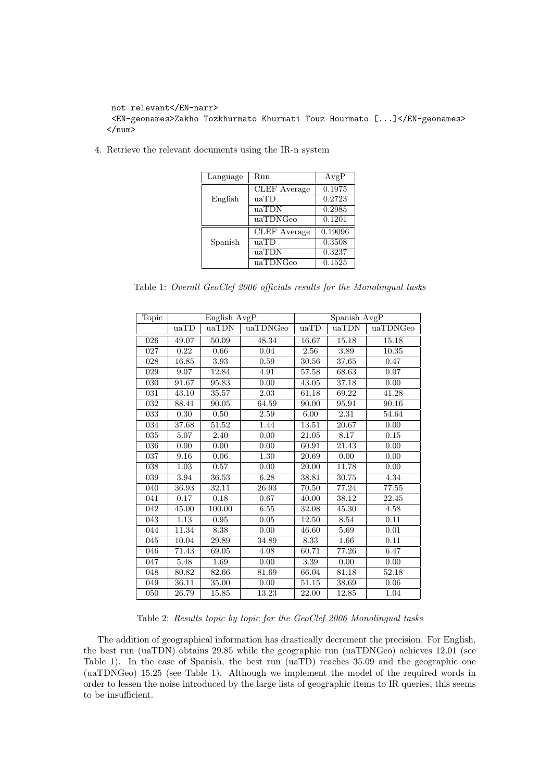```
not relevant</EN-narr>
<EN-geonames>Zakho Tozkhurmato Khurmati Touz Hourmato [...]</EN-geonames>
\langle/num\rangle
```
4. Retrieve the relevant documents using the IR-n system

| Language | Run                 | AvgP    |
|----------|---------------------|---------|
|          | CLEF Average        | 0.1975  |
| English  | uaTD                | 0.2723  |
|          | uaTDN               | 0.2985  |
|          | uaTDNGeo            | 0.1201  |
| Spanish  | <b>CLEF</b> Average | 0.19096 |
|          | uaTD                | 0.3508  |
|          | uaTDN               | 0.3237  |
|          | uaTDNGeo            | 0.1525  |

Table 1: Overall GeoClef 2006 officials results for the Monolingual tasks

| Topic | English AvgP |        | Spanish AvgP |       |       |          |
|-------|--------------|--------|--------------|-------|-------|----------|
|       | uaTD         | uaTDN  | uaTDNGeo     | uaTD  | uaTDN | uaTDNGeo |
| 026   | 49.07        | 50.09  | 48.34        | 16.67 | 15.18 | 15.18    |
| 027   | 0.22         | 0.66   | 0.04         | 2.56  | 3.89  | 10.35    |
| 028   | 16.85        | 3.93   | 0.59         | 30.56 | 37.65 | 0.47     |
| 029   | 9.07         | 12.84  | 4.91         | 57.58 | 68.63 | 0.07     |
| 030   | 91.67        | 95.83  | 0.00         | 43.05 | 37.18 | 0.00     |
| 031   | 43.10        | 35.57  | 2.03         | 61.18 | 69.22 | 41.28    |
| 032   | 88.41        | 90.05  | 64.59        | 90.00 | 95.91 | 90.16    |
| 033   | 0.30         | 0.50   | 2.59         | 6.00  | 2.31  | 54.64    |
| 034   | 37.68        | 51.52  | 1.44         | 13.51 | 20.67 | 0.00     |
| 035   | 5.07         | 2.40   | 0.00         | 21.05 | 8.17  | 0.15     |
| 036   | 0.00         | 0.00   | 0.00         | 60.91 | 21.43 | 0.00     |
| 037   | 9.16         | 0.06   | 1.30         | 20.69 | 0.00  | 0.00     |
| 038   | 1.03         | 0.57   | 0.00         | 20.00 | 11.78 | 0.00     |
| 039   | 3.94         | 36.53  | 6.28         | 38.81 | 30.75 | 4.34     |
| 040   | 36.93        | 32.11  | 26.93        | 70.50 | 77.24 | 77.55    |
| 041   | 0.17         | 0.18   | 0.67         | 40.00 | 38.12 | 22.45    |
| 042   | 45.00        | 100.00 | 6.55         | 32.08 | 45.30 | 4.58     |
| 043   | 1.13         | 0.95   | 0.05         | 12.50 | 8.54  | 0.11     |
| 044   | 11.34        | 8.38   | 0.00         | 46.60 | 5.69  | 0.01     |
| 045   | 10.04        | 29.89  | 34.89        | 8.33  | 1.66  | 0.11     |
| 046   | 71.43        | 69.05  | 4.08         | 60.71 | 77.26 | 6.47     |
| 047   | 5.48         | 1.69   | 0.00         | 3.39  | 0.00  | 0.00     |
| 048   | 80.82        | 82.66  | 81.69        | 66.04 | 81.18 | 52.18    |
| 049   | 36.11        | 35.00  | 0.00         | 51.15 | 38.69 | 0.06     |
| 050   | 26.79        | 15.85  | 13.23        | 22.00 | 12.85 | 1.04     |

Table 2: Results topic by topic for the GeoClef 2006 Monolingual tasks

The addition of geographical information has drastically decrement the precision. For English, the best run (uaTDN) obtains 29.85 while the geographic run (uaTDNGeo) achieves 12.01 (see Table 1). In the case of Spanish, the best run (uaTD) reaches 35.09 and the geographic one (uaTDNGeo) 15.25 (see Table 1). Although we implement the model of the required words in order to lessen the noise introduced by the large lists of geographic items to IR queries, this seems to be insufficient.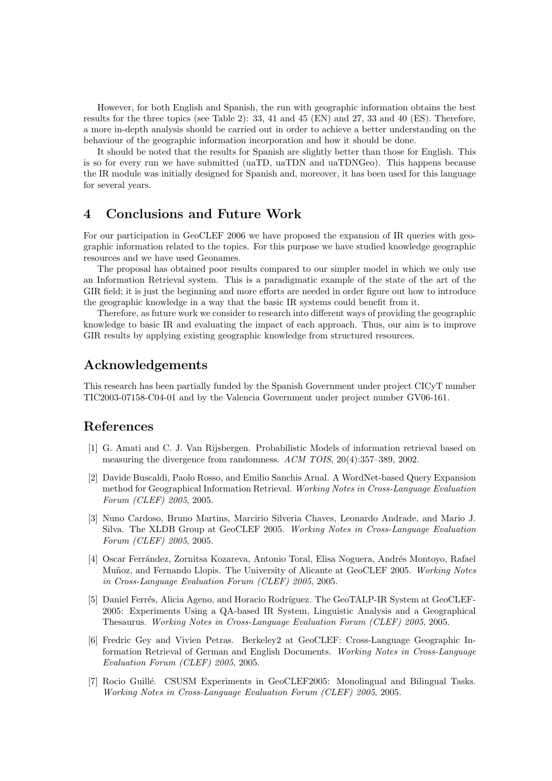However, for both English and Spanish, the run with geographic information obtains the best results for the three topics (see Table 2): 33, 41 and 45 (EN) and 27, 33 and 40 (ES). Therefore, a more in-depth analysis should be carried out in order to achieve a better understanding on the behaviour of the geographic information incorporation and how it should be done.

It should be noted that the results for Spanish are slightly better than those for English. This is so for every run we have submitted (uaTD, uaTDN and uaTDNGeo). This happens because the IR module was initially designed for Spanish and, moreover, it has been used for this language for several years.

# 4 Conclusions and Future Work

For our participation in GeoCLEF 2006 we have proposed the expansion of IR queries with geographic information related to the topics. For this purpose we have studied knowledge geographic resources and we have used Geonames.

The proposal has obtained poor results compared to our simpler model in which we only use an Information Retrieval system. This is a paradigmatic example of the state of the art of the GIR field; it is just the beginning and more efforts are needed in order figure out how to introduce the geographic knowledge in a way that the basic IR systems could benefit from it.

Therefore, as future work we consider to research into different ways of providing the geographic knowledge to basic IR and evaluating the impact of each approach. Thus, our aim is to improve GIR results by applying existing geographic knowledge from structured resources.

# Acknowledgements

This research has been partially funded by the Spanish Government under project CICyT number TIC2003-07158-C04-01 and by the Valencia Government under project number GV06-161.

## References

- [1] G. Amati and C. J. Van Rijsbergen. Probabilistic Models of information retrieval based on measuring the divergence from randomness. ACM TOIS, 20(4):357–389, 2002.
- [2] Davide Buscaldi, Paolo Rosso, and Emilio Sanchis Arnal. A WordNet-based Query Expansion method for Geographical Information Retrieval. Working Notes in Cross-Language Evaluation Forum (CLEF) 2005, 2005.
- [3] Nuno Cardoso, Bruno Martins, Marcirio Silveria Chaves, Leonardo Andrade, and Mario J. Silva. The XLDB Group at GeoCLEF 2005. Working Notes in Cross-Language Evaluation Forum (CLEF) 2005, 2005.
- [4] Oscar Ferrández, Zornitsa Kozareva, Antonio Toral, Elisa Noguera, Andrés Montoyo, Rafael Muñoz, and Fernando Llopis. The University of Alicante at GeoCLEF 2005. Working Notes in Cross-Language Evaluation Forum (CLEF) 2005, 2005.
- [5] Daniel Ferrés, Alicia Ageno, and Horacio Rodríguez. The GeoTALP-IR System at GeoCLEF-2005: Experiments Using a QA-based IR System, Linguistic Analysis and a Geographical Thesaurus. Working Notes in Cross-Language Evaluation Forum (CLEF) 2005, 2005.
- [6] Fredric Gey and Vivien Petras. Berkeley2 at GeoCLEF: Cross-Language Geographic Information Retrieval of German and English Documents. Working Notes in Cross-Language Evaluation Forum (CLEF) 2005, 2005.
- [7] Rocio Guillé. CSUSM Experiments in GeoCLEF2005: Monolingual and Bilingual Tasks. Working Notes in Cross-Language Evaluation Forum (CLEF) 2005, 2005.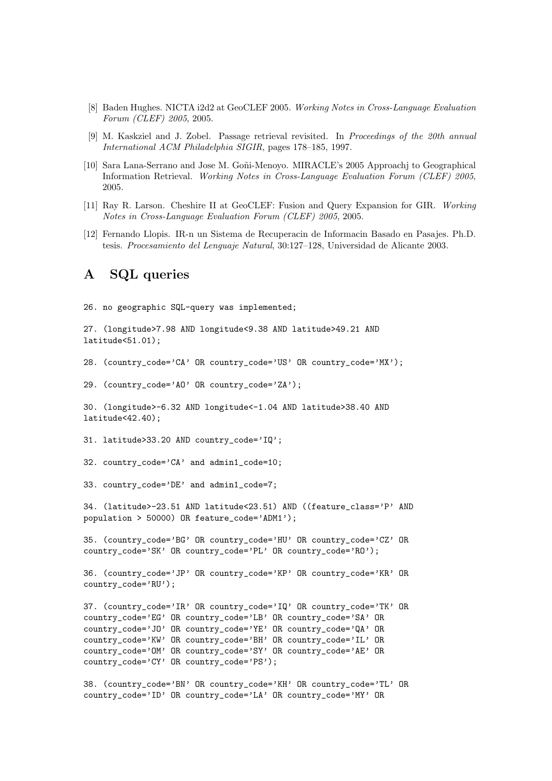- [8] Baden Hughes. NICTA i2d2 at GeoCLEF 2005. Working Notes in Cross-Language Evaluation Forum (CLEF) 2005, 2005.
- [9] M. Kaskziel and J. Zobel. Passage retrieval revisited. In Proceedings of the 20th annual International ACM Philadelphia SIGIR, pages 178–185, 1997.
- [10] Sara Lana-Serrano and Jose M. Goñi-Menoyo. MIRACLE's 2005 Approachj to Geographical Information Retrieval. Working Notes in Cross-Language Evaluation Forum (CLEF) 2005, 2005.
- [11] Ray R. Larson. Cheshire II at GeoCLEF: Fusion and Query Expansion for GIR. Working Notes in Cross-Language Evaluation Forum (CLEF) 2005, 2005.
- [12] Fernando Llopis. IR-n un Sistema de Recuperacin de Informacin Basado en Pasajes. Ph.D. tesis. Procesamiento del Lenguaje Natural, 30:127–128, Universidad de Alicante 2003.

# A SQL queries

26. no geographic SQL-query was implemented;

```
27. (longitude>7.98 AND longitude<9.38 AND latitude>49.21 AND
latitude<51.01);
```

```
28. (country_code='CA' OR country_code='US' OR country_code='MX');
```
29. (country\_code='AO' OR country\_code='ZA');

```
30. (longitude>-6.32 AND longitude<-1.04 AND latitude>38.40 AND
latitude<42.40);
```

```
31. latitude>33.20 AND country_code='IQ';
```

```
32. country_code='CA' and admin1_code=10;
```

```
33. country_code='DE' and admin1_code=7;
```
34. (latitude>-23.51 AND latitude<23.51) AND ((feature\_class='P' AND population > 50000) OR feature\_code='ADM1');

35. (country\_code='BG' OR country\_code='HU' OR country\_code='CZ' OR country\_code='SK' OR country\_code='PL' OR country\_code='RO');

```
36. (country_code='JP' OR country_code='KP' OR country_code='KR' OR
country_code='RU');
```

```
37. (country_code='IR' OR country_code='IQ' OR country_code='TK' OR
country_code='EG' OR country_code='LB' OR country_code='SA' OR
country_code='JO' OR country_code='YE' OR country_code='QA' OR
country_code='KW' OR country_code='BH' OR country_code='IL' OR
country_code='OM' OR country_code='SY' OR country_code='AE' OR
country_code='CY' OR country_code='PS');
```

```
38. (country_code='BN' OR country_code='KH' OR country_code='TL' OR
country_code='ID' OR country_code='LA' OR country_code='MY' OR
```